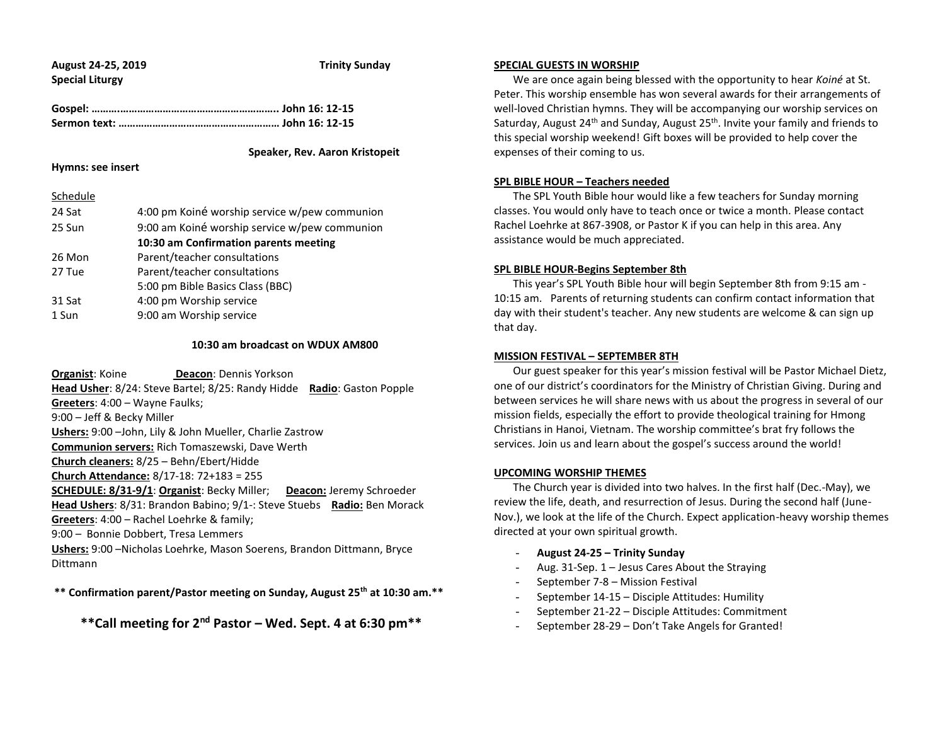|                        | August 24-25, 2019 |
|------------------------|--------------------|
| <b>Special Liturgy</b> |                    |

**Trinity Sunday** 

 **Speaker, Rev. Aaron Kristopeit**

### **Hymns: see insert**

Schedule

| Schedule |                                               |
|----------|-----------------------------------------------|
| 24 Sat   | 4:00 pm Koiné worship service w/pew communion |
| 25 Sun   | 9:00 am Koiné worship service w/pew communion |
|          | 10:30 am Confirmation parents meeting         |
| 26 Mon   | Parent/teacher consultations                  |
| 27 Tue   | Parent/teacher consultations                  |
|          | 5:00 pm Bible Basics Class (BBC)              |
| 31 Sat   | 4:00 pm Worship service                       |
| 1 Sun    | 9:00 am Worship service                       |
|          |                                               |

### **10:30 am broadcast on WDUX AM800**

**Organist: Koine <b>Deacon: Dennis Yorkson Head Usher**: 8/24: Steve Bartel; 8/25: Randy Hidde **Radio**: Gaston Popple **Greeters**: 4:00 – Wayne Faulks; 9:00 – Jeff & Becky Miller **Ushers:** 9:00 –John, Lily & John Mueller, Charlie Zastrow **Communion servers:** Rich Tomaszewski, Dave Werth **Church cleaners:** 8/25 – Behn/Ebert/Hidde **Church Attendance:** 8/17-18: 72+183 = 255 **SCHEDULE: 8/31-9/1**: **Organist**: Becky Miller; **Deacon:** Jeremy Schroeder **Head Ushers**: 8/31: Brandon Babino; 9/1-: Steve Stuebs **Radio:** Ben Morack **Greeters**: 4:00 – Rachel Loehrke & family; 9:00 – Bonnie Dobbert, Tresa Lemmers **Ushers:** 9:00 –Nicholas Loehrke, Mason Soerens, Brandon Dittmann, Bryce Dittmann

**\*\* Confirmation parent/Pastor meeting on Sunday, August 25th at 10:30 am.\*\***

**\*\*Call meeting for 2nd Pastor – Wed. Sept. 4 at 6:30 pm\*\***

### **SPECIAL GUESTS IN WORSHIP**

 We are once again being blessed with the opportunity to hear *Koiné* at St. Peter. This worship ensemble has won several awards for their arrangements of well-loved Christian hymns. They will be accompanying our worship services on Saturday, August 24<sup>th</sup> and Sunday, August  $25<sup>th</sup>$ . Invite your family and friends to this special worship weekend! Gift boxes will be provided to help cover the expenses of their coming to us.

# **SPL BIBLE HOUR – Teachers needed**

 The SPL Youth Bible hour would like a few teachers for Sunday morning classes. You would only have to teach once or twice a month. Please contact Rachel Loehrke at 867-3908, or Pastor K if you can help in this area. Any assistance would be much appreciated.

### **SPL BIBLE HOUR-Begins September 8th**

 This year's SPL Youth Bible hour will begin September 8th from 9:15 am - 10:15 am. Parents of returning students can confirm contact information that day with their student's teacher. Any new students are welcome & can sign up that day.

### **MISSION FESTIVAL – SEPTEMBER 8TH**

 Our guest speaker for this year's mission festival will be Pastor Michael Dietz, one of our district's coordinators for the Ministry of Christian Giving. During and between services he will share news with us about the progress in several of our mission fields, especially the effort to provide theological training for Hmong Christians in Hanoi, Vietnam. The worship committee's brat fry follows the services. Join us and learn about the gospel's success around the world!

# **UPCOMING WORSHIP THEMES**

 The Church year is divided into two halves. In the first half (Dec.-May), we review the life, death, and resurrection of Jesus. During the second half (June-Nov.), we look at the life of the Church. Expect application-heavy worship themes directed at your own spiritual growth.

- **August 24-25 – Trinity Sunday**
- Aug. 31-Sep. 1 Jesus Cares About the Straying
- September 7-8 Mission Festival
- September 14-15 Disciple Attitudes: Humility
- September 21-22 Disciple Attitudes: Commitment
- September 28-29 Don't Take Angels for Granted!